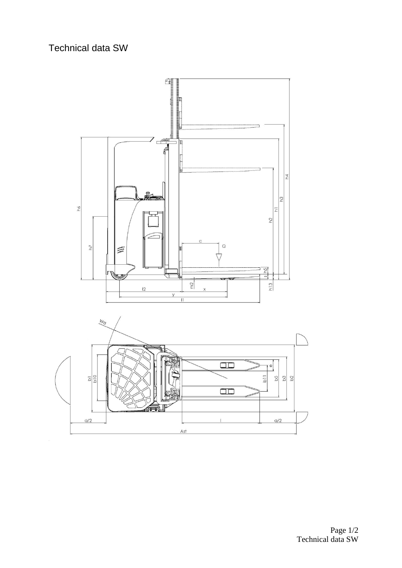## Technical data SW



Technical data SW Page 1/2